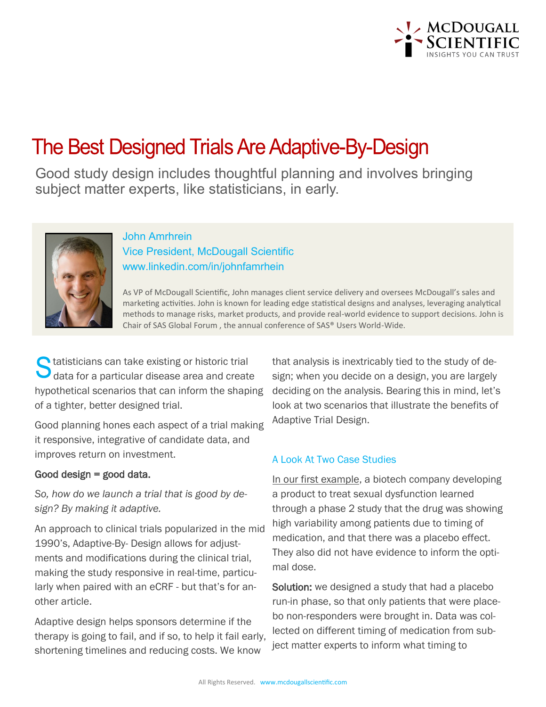

## The Best Designed Trials Are Adaptive-By-Design

Good study design includes thoughtful planning and involves bringing subject matter experts, like statisticians, in early.



## John Amrhrein Vice President, McDougall Scientific www.linkedin.com/in/johnfamrhein

As VP of McDougall Scientific, John manages client service delivery and oversees McDougall's sales and marketing activities. John is known for leading edge statistical designs and analyses, leveraging analytical methods to manage risks, market products, and provide real-world evidence to support decisions. John is Chair of SAS Global Forum , the annual conference of SAS® Users World-Wide.

tatisticians can take existing or historic trial data for a particular disease area and create hypothetical scenarios that can inform the shaping of a tighter, better designed trial.

Good planning hones each aspect of a trial making it responsive, integrative of candidate data, and improves return on investment.

## Good design  $=$  good data.

*So, how do we launch a trial that is good by design? By making it adaptive.* 

An approach to clinical trials popularized in the mid 1990's, Adaptive-By- Design allows for adjustments and modifications during the clinical trial, making the study responsive in real-time, particularly when paired with an eCRF - but that's for another article.

Adaptive design helps sponsors determine if the therapy is going to fail, and if so, to help it fail early, shortening timelines and reducing costs. We know

that analysis is inextricably tied to the study of design; when you decide on a design, you are largely deciding on the analysis. Bearing this in mind, let's look at two scenarios that illustrate the benefits of Adaptive Trial Design.

## A Look At Two Case Studies

In our first example, a biotech company developing a product to treat sexual dysfunction learned through a phase 2 study that the drug was showing high variability among patients due to timing of medication, and that there was a placebo effect. They also did not have evidence to inform the optimal dose.

Solution: we designed a study that had a placebo run-in phase, so that only patients that were placebo non-responders were brought in. Data was collected on different timing of medication from subject matter experts to inform what timing to